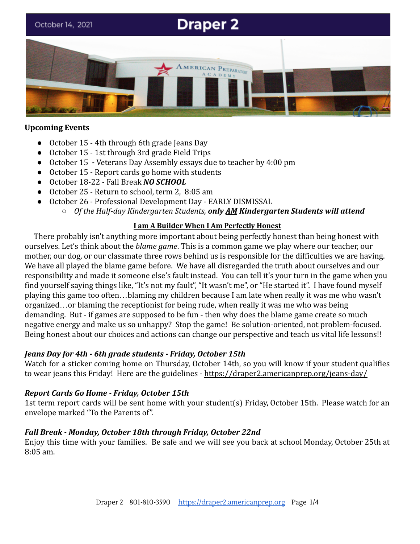# **Draper 2** October 14, 2021 ERICAN PREPARATORY

#### **Upcoming Events**

- October 15 4th through 6th grade Jeans Day
- October 15 1st through 3rd grade Field Trips
- October 15 *-* Veterans Day Assembly essays due to teacher by 4:00 pm
- October 15 Report cards go home with students
- October 18-22 Fall Break *NO SCHOOL*
- October 25 Return to school, term 2, 8:05 am
- October 26 Professional Development Day EARLY DISMISSAL
	- *Of the Half-day Kindergarten Students, only AM Kindergarten Students will attend*

#### **I am A Builder When I Am Perfectly Honest**

There probably isn't anything more important about being perfectly honest than being honest with ourselves. Let's think about the *blame game*. This is a common game we play where our teacher, our mother, our dog, or our classmate three rows behind us is responsible for the difficulties we are having. We have all played the blame game before. We have all disregarded the truth about ourselves and our responsibility and made it someone else's fault instead. You can tell it's your turn in the game when you find yourself saying things like, "It's not my fault", "It wasn't me", or "He started it". I have found myself playing this game too often…blaming my children because I am late when really it was me who wasn't organized…or blaming the receptionist for being rude, when really it was me who was being demanding. But - if games are supposed to be fun - then why does the blame game create so much negative energy and make us so unhappy? Stop the game! Be solution-oriented, not problem-focused. Being honest about our choices and actions can change our perspective and teach us vital life lessons!!

#### *Jeans Day for 4th - 6th grade students - Friday, October 15th*

Watch for a sticker coming home on Thursday, October 14th, so you will know if your student qualifies to wear jeans this Friday! Here are the guidelines - <https://draper2.americanprep.org/jeans-day/>

#### *Report Cards Go Home - Friday, October 15th*

1st term report cards will be sent home with your student(s) Friday, October 15th. Please watch for an envelope marked "To the Parents of".

#### *Fall Break - Monday, October 18th through Friday, October 22nd*

Enjoy this time with your families. Be safe and we will see you back at school Monday, October 25th at 8:05 am.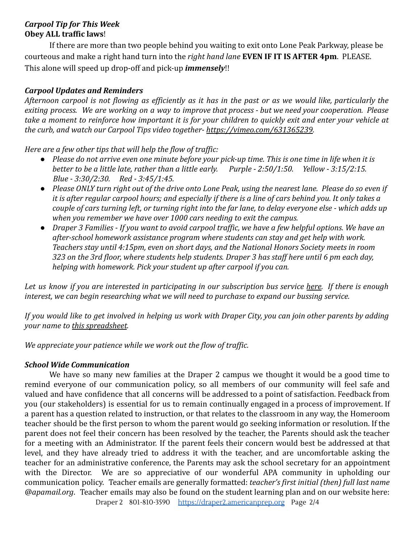## *Carpool Tip for This Week* **Obey ALL traffic laws**!

If there are more than two people behind you waiting to exit onto Lone Peak Parkway, please be courteous and make a right hand turn into the *right hand lane* **EVEN IF IT IS AFTER 4pm**. PLEASE. This alone will speed up drop-off and pick-up *immensely*!!

# *Carpool Updates and Reminders*

Afternoon carpool is not flowing as efficiently as it has in the past or as we would like, particularly the exiting process. We are working on a way to improve that process - but we need your cooperation. Please take a moment to reinforce how important it is for your children to quickly exit and enter your vehicle at *the curb, and watch our Carpool Tips video together- <https://vimeo.com/631365239>.*

*Here are a few other tips that will help the flow of traffic:*

- *● Please do not arrive even one minute before your pick-up time. This is one time in life when it is better to be a little late, rather than a little early. Purple - 2:50/1:50. Yellow - 3:15/2:15. Blue - 3:30/2:30. Red - 3:45/1:45.*
- *● Please ONLY turn right out of the drive onto Lone Peak, using the nearest lane. Please do so even if it is after regular carpool hours; and especially if there is a line of cars behind you. It only takes a couple of cars turning left, or turning right into the far lane, to delay everyone else - which adds up when you remember we have over 1000 cars needing to exit the campus.*
- *● Draper 3 Families If you want to avoid carpool traffic, we have a few helpful options. We have an after-school homework assistance program where students can stay and get help with work. Teachers stay until 4:15pm, even on short days, and the National Honors Society meets in room 323 on the 3rd floor, where students help students. Draper 3 has staff here until 6 pm each day, helping with homework. Pick your student up after carpool if you can.*

Let us know if you are interested in participating in our subscription bus service [here.](https://www.americanprep.org/bus-program/) If there is enough *interest, we can begin researching what we will need to purchase to expand our bussing service.*

If you would like to get involved in helping us work with Draper City, you can join other parents by adding *your name to [this spreadsheet](https://docs.google.com/spreadsheets/d/1g5Vz_hrB7WMhXb7IRvtlA3De6lsGBcRLqwz9zESiKFg/edit#gid=0).*

*We appreciate your patience while we work out the flow of traffic.*

# *School Wide Communication*

We have so many new families at the Draper 2 campus we thought it would be a good time to remind everyone of our communication policy, so all members of our community will feel safe and valued and have confidence that all concerns will be addressed to a point of satisfaction. Feedback from you (our stakeholders) is essential for us to remain continually engaged in a process of improvement. If a parent has a question related to instruction, or that relates to the classroom in any way, the Homeroom teacher should be the first person to whom the parent would go seeking information or resolution. If the parent does not feel their concern has been resolved by the teacher, the Parents should ask the teacher for a meeting with an Administrator. If the parent feels their concern would best be addressed at that level, and they have already tried to address it with the teacher, and are uncomfortable asking the teacher for an administrative conference, the Parents may ask the school secretary for an appointment with the Director. We are so appreciative of our wonderful APA community in upholding our communication policy. Teacher emails are generally formatted: *teacher's first initial (then) full last name @apamail.org*. Teacher emails may also be found on the student learning plan and on our website here:

Draper 2 801-810-3590 [https://draper2.americanprep.org](https://draper2.americanprep.org/) Page 2/4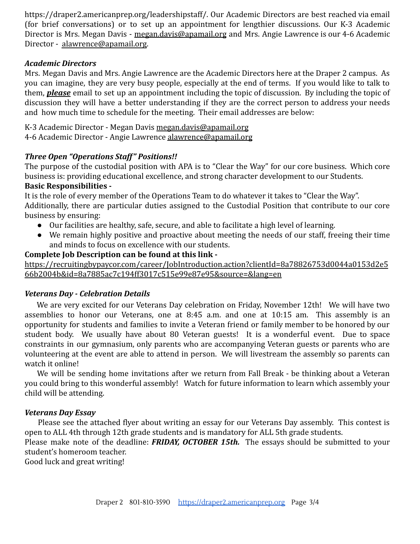https://draper2.americanprep.org/leadershipstaff/. Our Academic Directors are best reached via email (for brief conversations) or to set up an appointment for lengthier discussions. Our K-3 Academic Director is Mrs. Megan Davis - [megan.davis@apamail.org](mailto:megan.davis@apamail.org) and Mrs. Angie Lawrence is our 4-6 Academic Director - [alawrence@apamail.org](mailto:alawrence@apamail.org).

#### *Academic Directors*

Mrs. Megan Davis and Mrs. Angie Lawrence are the Academic Directors here at the Draper 2 campus. As you can imagine, they are very busy people, especially at the end of terms. If you would like to talk to them, *please* email to set up an appointment including the topic of discussion. By including the topic of discussion they will have a better understanding if they are the correct person to address your needs and how much time to schedule for the meeting. Their email addresses are below:

K-3 Academic Director - Megan Davis [megan.davis@apamail.org](mailto:megan.davis@apamail.org) 4-6 Academic Director - Angie Lawrence [alawrence@apamail.org](mailto:lawrence@apamail.org)

# *Three Open "Operations Staff" Positions!!*

The purpose of the custodial position with APA is to "Clear the Way" for our core business. Which core business is: providing educational excellence, and strong character development to our Students.

# **Basic Responsibilities -**

It is the role of every member of the Operations Team to do whatever it takes to "Clear the Way". Additionally, there are particular duties assigned to the Custodial Position that contribute to our core business by ensuring:

- Our facilities are healthy, safe, secure, and able to facilitate a high level of learning.
- We remain highly positive and proactive about meeting the needs of our staff, freeing their time and minds to focus on excellence with our students.

## **Complete Job Description can be found at this link -**

[https://recruitingbypaycor.com/career/JobIntroduction.action?clientId=8a78826753d0044a0153d2e5](https://recruitingbypaycor.com/career/JobIntroduction.action?clientId=8a78826753d0044a0153d2e566b2004b&id=8a7885ac7c194ff3017c515e99e87e95&source=&lang=en) [66b2004b&id=8a7885ac7c194ff3017c515e99e87e95&source=&lang=en](https://recruitingbypaycor.com/career/JobIntroduction.action?clientId=8a78826753d0044a0153d2e566b2004b&id=8a7885ac7c194ff3017c515e99e87e95&source=&lang=en)

#### *Veterans Day - Celebration Details*

We are very excited for our Veterans Day celebration on Friday, November 12th! We will have two assemblies to honor our Veterans, one at 8:45 a.m. and one at 10:15 am. This assembly is an opportunity for students and families to invite a Veteran friend or family member to be honored by our student body. We usually have about 80 Veteran guests! It is a wonderful event. Due to space constraints in our gymnasium, only parents who are accompanying Veteran guests or parents who are volunteering at the event are able to attend in person. We will livestream the assembly so parents can watch it online!

We will be sending home invitations after we return from Fall Break - be thinking about a Veteran you could bring to this wonderful assembly! Watch for future information to learn which assembly your child will be attending.

# *Veterans Day Essay*

Please see the attached flyer about writing an essay for our Veterans Day assembly. This contest is open to ALL 4th through 12th grade students and is mandatory for ALL 5th grade students.

Please make note of the deadline: *FRIDAY, OCTOBER 15th.* The essays should be submitted to your student's homeroom teacher.

Good luck and great writing!